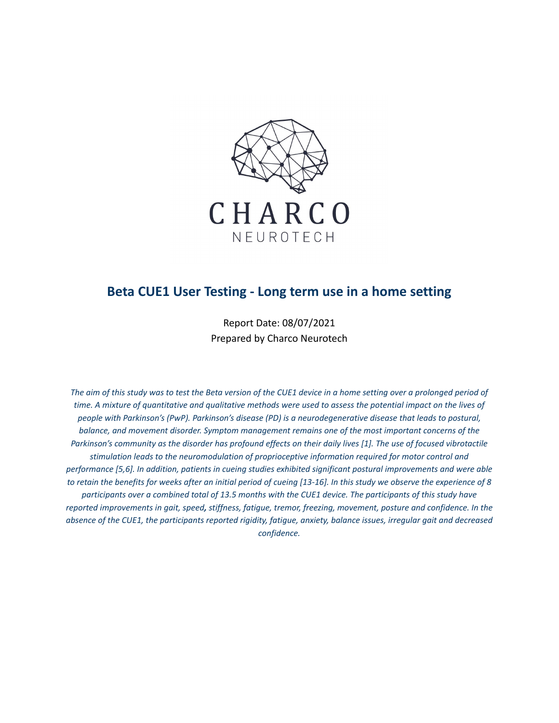

# **Beta CUE1 User Testing - Long term use in a home setting**

Report Date: 08/07/2021 Prepared by Charco Neurotech

The aim of this study was to test the Beta version of the CUE1 device in a home setting over a prolonged period of time. A mixture of quantitative and qualitative methods were used to assess the potential impact on the lives of *people with Parkinson's (PwP). Parkinson's disease (PD) is a neurodegenerative disease that leads to postural, balance, and movement disorder. Symptom management remains one of the most important concerns of the* Parkinson's community as the disorder has profound effects on their daily lives [1]. The use of focused vibrotactile *stimulation leads to the neuromodulation of proprioceptive information required for motor control and performance [5,6]. In addition, patients in cueing studies exhibited significant postural improvements and were able* to retain the benefits for weeks after an initial period of cueing [13-16]. In this study we observe the experience of 8 participants over a combined total of 13.5 months with the CUE1 device. The participants of this study have reported improvements in gait, speed, stiffness, fatigue, tremor, freezing, movement, posture and confidence. In the absence of the CUE1, the participants reported rigidity, fatigue, anxiety, balance issues, irregular gait and decreased *confidence.*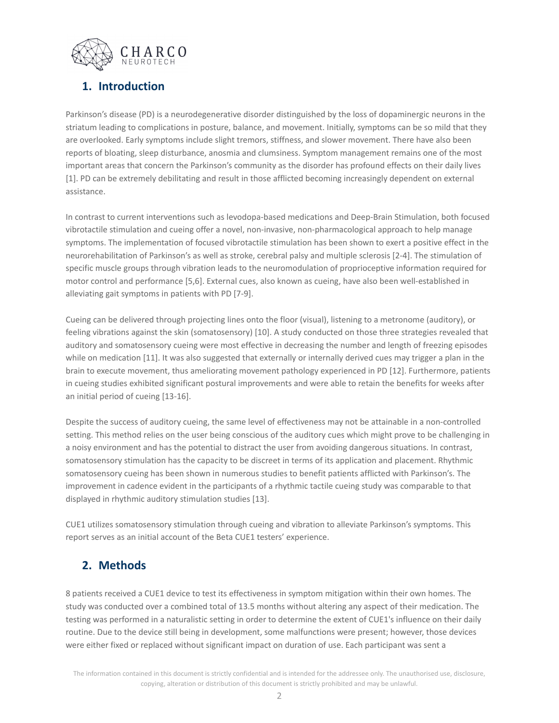

# **1. Introduction**

Parkinson's disease (PD) is a neurodegenerative disorder distinguished by the loss of dopaminergic neurons in the striatum leading to complications in posture, balance, and movement. Initially, symptoms can be so mild that they are overlooked. Early symptoms include slight tremors, stiffness, and slower movement. There have also been reports of bloating, sleep disturbance, anosmia and clumsiness. Symptom management remains one of the most important areas that concern the Parkinson's community as the disorder has profound effects on their daily lives [1]. PD can be extremely debilitating and result in those afflicted becoming increasingly dependent on external assistance.

In contrast to current interventions such as levodopa-based medications and Deep-Brain Stimulation, both focused vibrotactile stimulation and cueing offer a novel, non-invasive, non-pharmacological approach to help manage symptoms. The implementation of focused vibrotactile stimulation has been shown to exert a positive effect in the neurorehabilitation of Parkinson's as well as stroke, cerebral palsy and multiple sclerosis [2-4]. The stimulation of specific muscle groups through vibration leads to the neuromodulation of proprioceptive information required for motor control and performance [5,6]. External cues, also known as cueing, have also been well-established in alleviating gait symptoms in patients with PD [7-9].

Cueing can be delivered through projecting lines onto the floor (visual), listening to a metronome (auditory), or feeling vibrations against the skin (somatosensory) [10]. A study conducted on those three strategies revealed that auditory and somatosensory cueing were most effective in decreasing the number and length of freezing episodes while on medication [11]. It was also suggested that externally or internally derived cues may trigger a plan in the brain to execute movement, thus ameliorating movement pathology experienced in PD [12]. Furthermore, patients in cueing studies exhibited significant postural improvements and were able to retain the benefits for weeks after an initial period of cueing [13-16].

Despite the success of auditory cueing, the same level of effectiveness may not be attainable in a non-controlled setting. This method relies on the user being conscious of the auditory cues which might prove to be challenging in a noisy environment and has the potential to distract the user from avoiding dangerous situations. In contrast, somatosensory stimulation has the capacity to be discreet in terms of its application and placement. Rhythmic somatosensory cueing has been shown in numerous studies to benefit patients afflicted with Parkinson's. The improvement in cadence evident in the participants of a rhythmic tactile cueing study was comparable to that displayed in rhythmic auditory stimulation studies [13].

CUE1 utilizes somatosensory stimulation through cueing and vibration to alleviate Parkinson's symptoms. This report serves as an initial account of the Beta CUE1 testers' experience.

## **2. Methods**

8 patients received a CUE1 device to test its effectiveness in symptom mitigation within their own homes. The study was conducted over a combined total of 13.5 months without altering any aspect of their medication. The testing was performed in a naturalistic setting in order to determine the extent of CUE1's influence on their daily routine. Due to the device still being in development, some malfunctions were present; however, those devices were either fixed or replaced without significant impact on duration of use. Each participant was sent a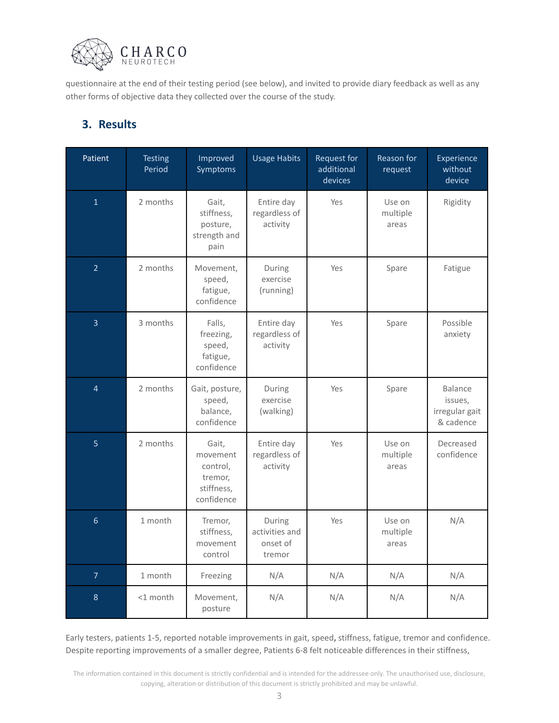

questionnaire at the end of their testing period (see below), and invited to provide diary feedback as well as any other forms of objective data they collected over the course of the study.

# **3. Results**

| Patient         | <b>Testing</b><br>Period | Improved<br>Symptoms                                                 | <b>Usage Habits</b>                            | Request for<br>additional<br>devices | Reason for<br>request       | Experience<br>without<br>device                   |
|-----------------|--------------------------|----------------------------------------------------------------------|------------------------------------------------|--------------------------------------|-----------------------------|---------------------------------------------------|
| $\mathbf{1}$    | 2 months                 | Gait,<br>stiffness,<br>posture,<br>strength and<br>pain              | Entire day<br>regardless of<br>activity        | Yes                                  | Use on<br>multiple<br>areas | Rigidity                                          |
| $\overline{2}$  | 2 months                 | Movement,<br>speed,<br>fatigue,<br>confidence                        | During<br>exercise<br>(running)                | Yes                                  | Spare                       | Fatigue                                           |
| $\overline{3}$  | 3 months                 | Falls,<br>freezing,<br>speed,<br>fatigue,<br>confidence              | Entire day<br>regardless of<br>activity        | Yes                                  | Spare                       | Possible<br>anxiety                               |
| $\overline{4}$  | 2 months                 | Gait, posture,<br>speed,<br>balance,<br>confidence                   | During<br>exercise<br>(walking)                | Yes                                  | Spare                       | Balance<br>issues,<br>irregular gait<br>& cadence |
| $\overline{5}$  | 2 months                 | Gait,<br>movement<br>control,<br>tremor,<br>stiffness,<br>confidence | Entire day<br>regardless of<br>activity        | Yes                                  | Use on<br>multiple<br>areas | Decreased<br>confidence                           |
| $6\overline{6}$ | 1 month                  | Tremor,<br>stiffness,<br>movement<br>control                         | During<br>activities and<br>onset of<br>tremor | Yes                                  | Use on<br>multiple<br>areas | N/A                                               |
| $\overline{7}$  | 1 month                  | Freezing                                                             | N/A                                            | N/A                                  | N/A                         | N/A                                               |
| $\,8$           | <1 month                 | Movement,<br>posture                                                 | N/A                                            | N/A                                  | N/A                         | N/A                                               |

Early testers, patients 1-5, reported notable improvements in gait, speed**,** stiffness, fatigue, tremor and confidence. Despite reporting improvements of a smaller degree, Patients 6-8 felt noticeable differences in their stiffness,

The information contained in this document is strictly confidential and is intended for the addressee only. The unauthorised use, disclosure, copying, alteration or distribution of this document is strictly prohibited and may be unlawful.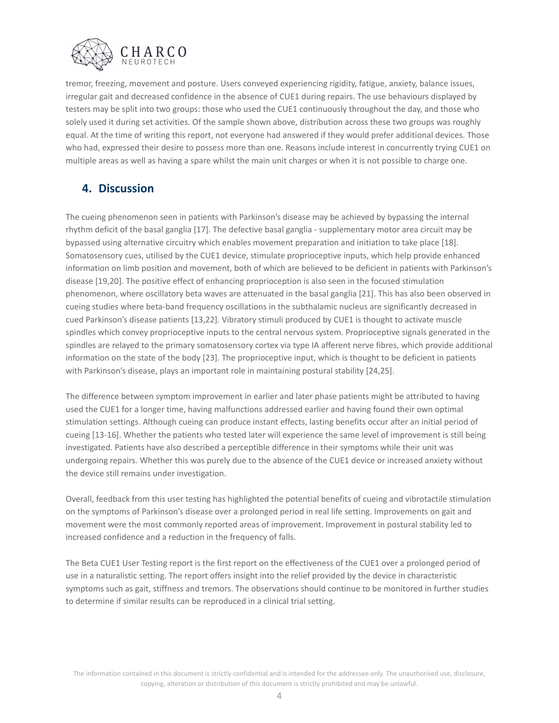

tremor, freezing, movement and posture. Users conveyed experiencing rigidity, fatigue, anxiety, balance issues, irregular gait and decreased confidence in the absence of CUE1 during repairs. The use behaviours displayed by testers may be split into two groups: those who used the CUE1 continuously throughout the day, and those who solely used it during set activities. Of the sample shown above, distribution across these two groups was roughly equal. At the time of writing this report, not everyone had answered if they would prefer additional devices. Those who had, expressed their desire to possess more than one. Reasons include interest in concurrently trying CUE1 on multiple areas as well as having a spare whilst the main unit charges or when it is not possible to charge one.

# **4. Discussion**

The cueing phenomenon seen in patients with Parkinson's disease may be achieved by bypassing the internal rhythm deficit of the basal ganglia [17]. The defective basal ganglia - supplementary motor area circuit may be bypassed using alternative circuitry which enables movement preparation and initiation to take place [18]. Somatosensory cues, utilised by the CUE1 device, stimulate proprioceptive inputs, which help provide enhanced information on limb position and movement, both of which are believed to be deficient in patients with Parkinson's disease [19,20]. The positive effect of enhancing proprioception is also seen in the focused stimulation phenomenon, where oscillatory beta waves are attenuated in the basal ganglia [21]. This has also been observed in cueing studies where beta-band frequency oscillations in the subthalamic nucleus are significantly decreased in cued Parkinson's disease patients [13,22]. Vibratory stimuli produced by CUE1 is thought to activate muscle spindles which convey proprioceptive inputs to the central nervous system. Proprioceptive signals generated in the spindles are relayed to the primary somatosensory cortex via type IA afferent nerve fibres, which provide additional information on the state of the body [23]. The proprioceptive input, which is thought to be deficient in patients with Parkinson's disease, plays an important role in maintaining postural stability [24,25].

The difference between symptom improvement in earlier and later phase patients might be attributed to having used the CUE1 for a longer time, having malfunctions addressed earlier and having found their own optimal stimulation settings. Although cueing can produce instant effects, lasting benefits occur after an initial period of cueing [13-16]. Whether the patients who tested later will experience the same level of improvement is still being investigated. Patients have also described a perceptible difference in their symptoms while their unit was undergoing repairs. Whether this was purely due to the absence of the CUE1 device or increased anxiety without the device still remains under investigation.

Overall, feedback from this user testing has highlighted the potential benefits of cueing and vibrotactile stimulation on the symptoms of Parkinson's disease over a prolonged period in real life setting. Improvements on gait and movement were the most commonly reported areas of improvement. Improvement in postural stability led to increased confidence and a reduction in the frequency of falls.

The Beta CUE1 User Testing report is the first report on the effectiveness of the CUE1 over a prolonged period of use in a naturalistic setting. The report offers insight into the relief provided by the device in characteristic symptoms such as gait, stiffness and tremors. The observations should continue to be monitored in further studies to determine if similar results can be reproduced in a clinical trial setting.

The information contained in this document is strictly confidential and is intended for the addressee only. The unauthorised use, disclosure, copying, alteration or distribution of this document is strictly prohibited and may be unlawful.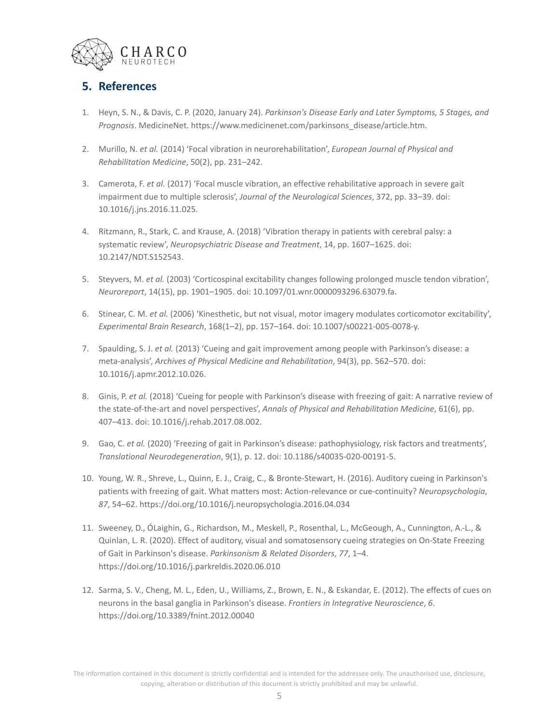

# **5. References**

- 1. Heyn, S. N., & Davis, C. P. (2020, January 24). *Parkinson's Disease Early and Later Symptoms, 5 Stages, and Prognosis*. MedicineNet. https://www.medicinenet.com/parkinsons\_disease/article.htm.
- 2. Murillo, N. *et al.* (2014) 'Focal vibration in neurorehabilitation', *European Journal of Physical and Rehabilitation Medicine*, 50(2), pp. 231–242.
- 3. Camerota, F. *et al.* (2017) 'Focal muscle vibration, an effective rehabilitative approach in severe gait impairment due to multiple sclerosis', *Journal of the Neurological Sciences*, 372, pp. 33–39. doi: 10.1016/j.jns.2016.11.025.
- 4. Ritzmann, R., Stark, C. and Krause, A. (2018) 'Vibration therapy in patients with cerebral palsy: a systematic review', *Neuropsychiatric Disease and Treatment*, 14, pp. 1607–1625. doi: 10.2147/NDT.S152543.
- 5. Steyvers, M. *et al.* (2003) 'Corticospinal excitability changes following prolonged muscle tendon vibration', *Neuroreport*, 14(15), pp. 1901–1905. doi: 10.1097/01.wnr.0000093296.63079.fa.
- 6. Stinear, C. M. *et al.* (2006) 'Kinesthetic, but not visual, motor imagery modulates corticomotor excitability', *Experimental Brain Research*, 168(1–2), pp. 157–164. doi: 10.1007/s00221-005-0078-y.
- 7. Spaulding, S. J. *et al.* (2013) 'Cueing and gait improvement among people with Parkinson's disease: a meta-analysis', *Archives of Physical Medicine and Rehabilitation*, 94(3), pp. 562–570. doi: 10.1016/j.apmr.2012.10.026.
- 8. Ginis, P. *et al.* (2018) 'Cueing for people with Parkinson's disease with freezing of gait: A narrative review of the state-of-the-art and novel perspectives', *Annals of Physical and Rehabilitation Medicine*, 61(6), pp. 407–413. doi: 10.1016/j.rehab.2017.08.002.
- 9. Gao, C. *et al.* (2020) 'Freezing of gait in Parkinson's disease: pathophysiology, risk factors and treatments', *Translational Neurodegeneration*, 9(1), p. 12. doi: 10.1186/s40035-020-00191-5.
- 10. Young, W. R., Shreve, L., Quinn, E. J., Craig, C., & Bronte-Stewart, H. (2016). Auditory cueing in Parkinson's patients with freezing of gait. What matters most: Action-relevance or cue-continuity? *Neuropsychologia*, *87*, 54–62. https://doi.org/10.1016/j.neuropsychologia.2016.04.034
- 11. Sweeney, D., ÓLaighin, G., Richardson, M., Meskell, P., Rosenthal, L., McGeough, A., Cunnington, A.-L., & Quinlan, L. R. (2020). Effect of auditory, visual and somatosensory cueing strategies on On-State Freezing of Gait in Parkinson's disease. *Parkinsonism & Related Disorders*, *77*, 1–4. https://doi.org/10.1016/j.parkreldis.2020.06.010
- 12. Sarma, S. V., Cheng, M. L., Eden, U., Williams, Z., Brown, E. N., & Eskandar, E. (2012). The effects of cues on neurons in the basal ganglia in Parkinson's disease. *Frontiers in Integrative Neuroscience*, *6*. https://doi.org/10.3389/fnint.2012.00040

The information contained in this document is strictly confidential and is intended for the addressee only. The unauthorised use, disclosure, copying, alteration or distribution of this document is strictly prohibited and may be unlawful.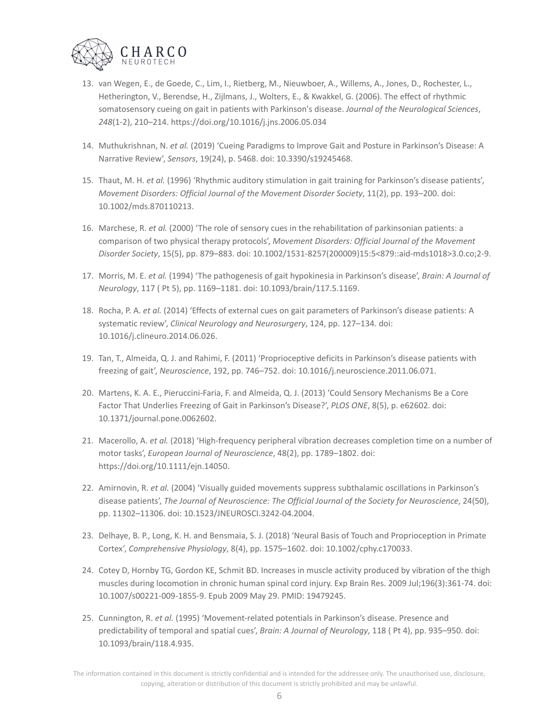

- 13. van Wegen, E., de Goede, C., Lim, I., Rietberg, M., Nieuwboer, A., Willems, A., Jones, D., Rochester, L., Hetherington, V., Berendse, H., Zijlmans, J., Wolters, E., & Kwakkel, G. (2006). The effect of rhythmic somatosensory cueing on gait in patients with Parkinson's disease. *Journal of the Neurological Sciences*, *248*(1-2), 210–214. https://doi.org/10.1016/j.jns.2006.05.034
- 14. Muthukrishnan, N. *et al.* (2019) 'Cueing Paradigms to Improve Gait and Posture in Parkinson's Disease: A Narrative Review', *Sensors*, 19(24), p. 5468. doi: 10.3390/s19245468.
- 15. Thaut, M. H. *et al.* (1996) 'Rhythmic auditory stimulation in gait training for Parkinson's disease patients', *Movement Disorders: Official Journal of the Movement Disorder Society*, 11(2), pp. 193–200. doi: 10.1002/mds.870110213.
- 16. Marchese, R. *et al.* (2000) 'The role of sensory cues in the rehabilitation of parkinsonian patients: a comparison of two physical therapy protocols', *Movement Disorders: Official Journal of the Movement Disorder Society*, 15(5), pp. 879–883. doi: 10.1002/1531-8257(200009)15:5<879::aid-mds1018>3.0.co;2-9.
- 17. Morris, M. E. *et al.* (1994) 'The pathogenesis of gait hypokinesia in Parkinson's disease', *Brain: A Journal of Neurology*, 117 ( Pt 5), pp. 1169–1181. doi: 10.1093/brain/117.5.1169.
- 18. Rocha, P. A. *et al.* (2014) 'Effects of external cues on gait parameters of Parkinson's disease patients: A systematic review', *Clinical Neurology and Neurosurgery*, 124, pp. 127–134. doi: 10.1016/j.clineuro.2014.06.026.
- 19. Tan, T., Almeida, Q. J. and Rahimi, F. (2011) 'Proprioceptive deficits in Parkinson's disease patients with freezing of gait', *Neuroscience*, 192, pp. 746–752. doi: 10.1016/j.neuroscience.2011.06.071.
- 20. Martens, K. A. E., Pieruccini-Faria, F. and Almeida, Q. J. (2013) 'Could Sensory Mechanisms Be a Core Factor That Underlies Freezing of Gait in Parkinson's Disease?', *PLOS ONE*, 8(5), p. e62602. doi: 10.1371/journal.pone.0062602.
- 21. Macerollo, A. *et al.* (2018) 'High-frequency peripheral vibration decreases completion time on a number of motor tasks', *European Journal of Neuroscience*, 48(2), pp. 1789–1802. doi: https://doi.org/10.1111/ejn.14050.
- 22. Amirnovin, R. *et al.* (2004) 'Visually guided movements suppress subthalamic oscillations in Parkinson's disease patients', *The Journal of Neuroscience: The Official Journal of the Society for Neuroscience*, 24(50), pp. 11302–11306. doi: 10.1523/JNEUROSCI.3242-04.2004.
- 23. Delhaye, B. P., Long, K. H. and Bensmaia, S. J. (2018) 'Neural Basis of Touch and Proprioception in Primate Cortex', *Comprehensive Physiology*, 8(4), pp. 1575–1602. doi: 10.1002/cphy.c170033.
- 24. Cotey D, Hornby TG, Gordon KE, Schmit BD. Increases in muscle activity produced by vibration of the thigh muscles during locomotion in chronic human spinal cord injury. Exp Brain Res. 2009 Jul;196(3):361-74. doi: 10.1007/s00221-009-1855-9. Epub 2009 May 29. PMID: 19479245.
- 25. Cunnington, R. *et al.* (1995) 'Movement-related potentials in Parkinson's disease. Presence and predictability of temporal and spatial cues', *Brain: A Journal of Neurology*, 118 ( Pt 4), pp. 935–950. doi: 10.1093/brain/118.4.935.

The information contained in this document is strictly confidential and is intended for the addressee only. The unauthorised use, disclosure, copying, alteration or distribution of this document is strictly prohibited and may be unlawful.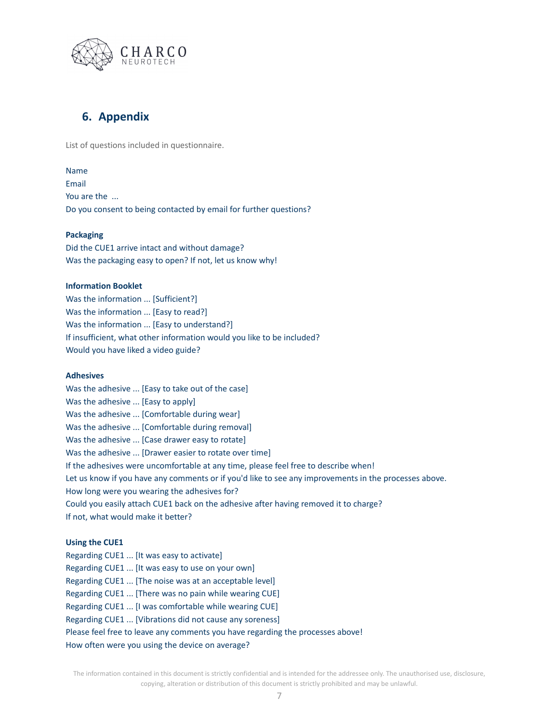

## **6. Appendix**

List of questions included in questionnaire.

### Name

Email You are the ... Do you consent to being contacted by email for further questions?

## **Packaging**

Did the CUE1 arrive intact and without damage? Was the packaging easy to open? If not, let us know why!

### **Information Booklet**

Was the information ... [Sufficient?] Was the information ... [Easy to read?] Was the information ... [Easy to understand?] If insufficient, what other information would you like to be included? Would you have liked a video guide?

### **Adhesives**

Was the adhesive ... [Easy to take out of the case] Was the adhesive ... [Easy to apply] Was the adhesive ... [Comfortable during wear] Was the adhesive ... [Comfortable during removal] Was the adhesive ... [Case drawer easy to rotate] Was the adhesive ... [Drawer easier to rotate over time] If the adhesives were uncomfortable at any time, please feel free to describe when! Let us know if you have any comments or if you'd like to see any improvements in the processes above. How long were you wearing the adhesives for? Could you easily attach CUE1 back on the adhesive after having removed it to charge? If not, what would make it better?

## **Using the CUE1**

Regarding CUE1 ... [It was easy to activate] Regarding CUE1 ... [It was easy to use on your own] Regarding CUE1 ... [The noise was at an acceptable level] Regarding CUE1 ... [There was no pain while wearing CUE] Regarding CUE1 ... [I was comfortable while wearing CUE] Regarding CUE1 ... [Vibrations did not cause any soreness] Please feel free to leave any comments you have regarding the processes above! How often were you using the device on average?

The information contained in this document is strictly confidential and is intended for the addressee only. The unauthorised use, disclosure, copying, alteration or distribution of this document is strictly prohibited and may be unlawful.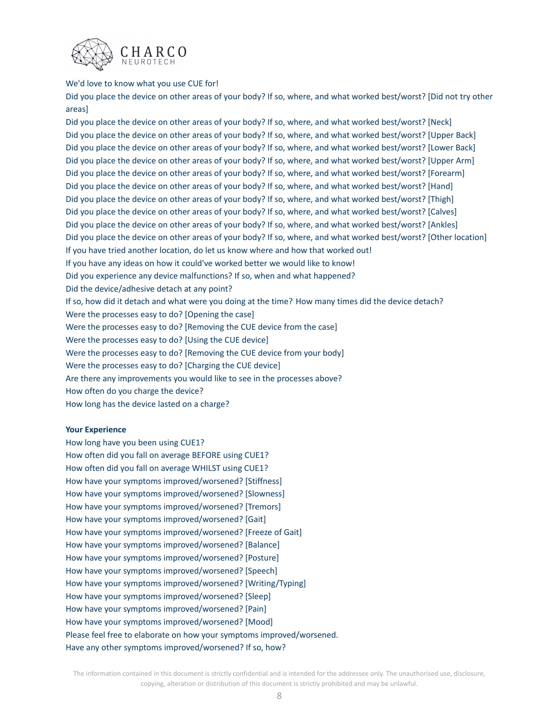

#### We'd love to know what you use CUE for!

Did you place the device on other areas of your body? If so, where, and what worked best/worst? [Did not try other areas]

Did you place the device on other areas of your body? If so, where, and what worked best/worst? [Neck] Did you place the device on other areas of your body? If so, where, and what worked best/worst? [Upper Back] Did you place the device on other areas of your body? If so, where, and what worked best/worst? [Lower Back] Did you place the device on other areas of your body? If so, where, and what worked best/worst? [Upper Arm] Did you place the device on other areas of your body? If so, where, and what worked best/worst? [Forearm] Did you place the device on other areas of your body? If so, where, and what worked best/worst? [Hand] Did you place the device on other areas of your body? If so, where, and what worked best/worst? [Thigh] Did you place the device on other areas of your body? If so, where, and what worked best/worst? [Calves] Did you place the device on other areas of your body? If so, where, and what worked best/worst? [Ankles] Did you place the device on other areas of your body? If so, where, and what worked best/worst? [Other location] If you have tried another location, do let us know where and how that worked out! If you have any ideas on how it could've worked better we would like to know! Did you experience any device malfunctions? If so, when and what happened? Did the device/adhesive detach at any point? If so, how did it detach and what were you doing at the time? How many times did the device detach? Were the processes easy to do? [Opening the case] Were the processes easy to do? [Removing the CUE device from the case] Were the processes easy to do? [Using the CUE device] Were the processes easy to do? [Removing the CUE device from your body] Were the processes easy to do? [Charging the CUE device] Are there any improvements you would like to see in the processes above? How often do you charge the device? How long has the device lasted on a charge?

#### **Your Experience**

How long have you been using CUE1? How often did you fall on average BEFORE using CUE1? How often did you fall on average WHILST using CUE1? How have your symptoms improved/worsened? [Stiffness] How have your symptoms improved/worsened? [Slowness] How have your symptoms improved/worsened? [Tremors] How have your symptoms improved/worsened? [Gait] How have your symptoms improved/worsened? [Freeze of Gait] How have your symptoms improved/worsened? [Balance] How have your symptoms improved/worsened? [Posture] How have your symptoms improved/worsened? [Speech] How have your symptoms improved/worsened? [Writing/Typing] How have your symptoms improved/worsened? [Sleep] How have your symptoms improved/worsened? [Pain] How have your symptoms improved/worsened? [Mood] Please feel free to elaborate on how your symptoms improved/worsened. Have any other symptoms improved/worsened? If so, how?